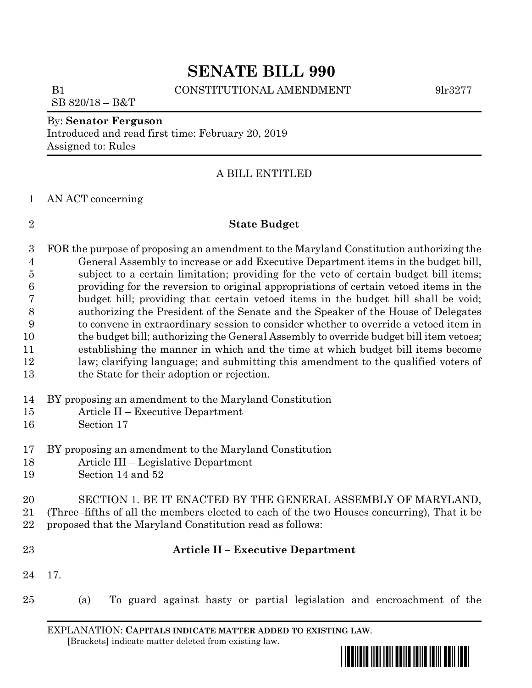# **SENATE BILL 990**

B1 CONSTITUTIONAL AMENDMENT 9lr3277

SB 820/18 – B&T

## By: **Senator Ferguson**

Introduced and read first time: February 20, 2019 Assigned to: Rules

## A BILL ENTITLED

## AN ACT concerning

### **State Budget**

 FOR the purpose of proposing an amendment to the Maryland Constitution authorizing the General Assembly to increase or add Executive Department items in the budget bill, subject to a certain limitation; providing for the veto of certain budget bill items; providing for the reversion to original appropriations of certain vetoed items in the budget bill; providing that certain vetoed items in the budget bill shall be void; authorizing the President of the Senate and the Speaker of the House of Delegates to convene in extraordinary session to consider whether to override a vetoed item in the budget bill; authorizing the General Assembly to override budget bill item vetoes; establishing the manner in which and the time at which budget bill items become law; clarifying language; and submitting this amendment to the qualified voters of the State for their adoption or rejection.

- BY proposing an amendment to the Maryland Constitution
- Article II Executive Department
- Section 17
- BY proposing an amendment to the Maryland Constitution
- Article III Legislative Department
- Section 14 and 52

# SECTION 1. BE IT ENACTED BY THE GENERAL ASSEMBLY OF MARYLAND,

 (Three–fifths of all the members elected to each of the two Houses concurring), That it be proposed that the Maryland Constitution read as follows:

## **Article II – Executive Department**

- 17.
- (a) To guard against hasty or partial legislation and encroachment of the

EXPLANATION: **CAPITALS INDICATE MATTER ADDED TO EXISTING LAW**.  **[**Brackets**]** indicate matter deleted from existing law.

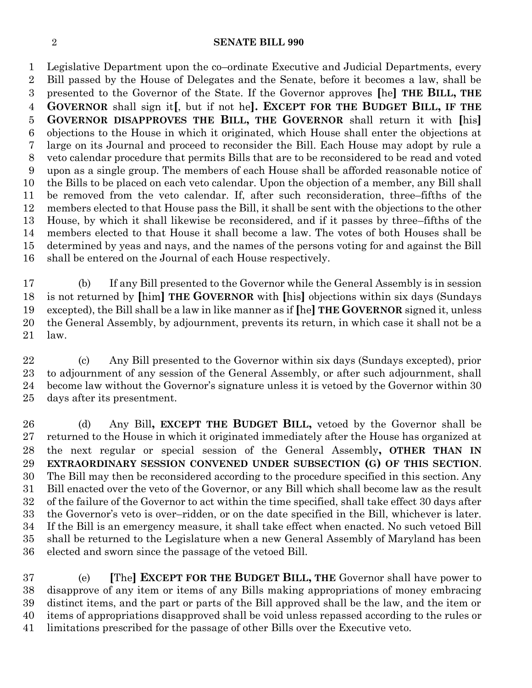#### **SENATE BILL 990**

 Legislative Department upon the co–ordinate Executive and Judicial Departments, every Bill passed by the House of Delegates and the Senate, before it becomes a law, shall be presented to the Governor of the State. If the Governor approves **[**he**] THE BILL, THE GOVERNOR** shall sign it**[**, but if not he**]. EXCEPT FOR THE BUDGET BILL, IF THE GOVERNOR DISAPPROVES THE BILL, THE GOVERNOR** shall return it with **[**his**]** objections to the House in which it originated, which House shall enter the objections at large on its Journal and proceed to reconsider the Bill. Each House may adopt by rule a veto calendar procedure that permits Bills that are to be reconsidered to be read and voted upon as a single group. The members of each House shall be afforded reasonable notice of the Bills to be placed on each veto calendar. Upon the objection of a member, any Bill shall be removed from the veto calendar. If, after such reconsideration, three–fifths of the members elected to that House pass the Bill, it shall be sent with the objections to the other House, by which it shall likewise be reconsidered, and if it passes by three–fifths of the members elected to that House it shall become a law. The votes of both Houses shall be determined by yeas and nays, and the names of the persons voting for and against the Bill shall be entered on the Journal of each House respectively.

 (b) If any Bill presented to the Governor while the General Assembly is in session is not returned by **[**him**] THE GOVERNOR** with **[**his**]** objections within six days (Sundays excepted), the Bill shall be a law in like manner as if **[**he**] THE GOVERNOR** signed it, unless the General Assembly, by adjournment, prevents its return, in which case it shall not be a law.

 (c) Any Bill presented to the Governor within six days (Sundays excepted), prior to adjournment of any session of the General Assembly, or after such adjournment, shall become law without the Governor's signature unless it is vetoed by the Governor within 30 days after its presentment.

 (d) Any Bill**, EXCEPT THE BUDGET BILL,** vetoed by the Governor shall be returned to the House in which it originated immediately after the House has organized at the next regular or special session of the General Assembly**, OTHER THAN IN EXTRAORDINARY SESSION CONVENED UNDER SUBSECTION (G) OF THIS SECTION**. The Bill may then be reconsidered according to the procedure specified in this section. Any Bill enacted over the veto of the Governor, or any Bill which shall become law as the result of the failure of the Governor to act within the time specified, shall take effect 30 days after the Governor's veto is over–ridden, or on the date specified in the Bill, whichever is later. If the Bill is an emergency measure, it shall take effect when enacted. No such vetoed Bill shall be returned to the Legislature when a new General Assembly of Maryland has been elected and sworn since the passage of the vetoed Bill.

 (e) **[**The**] EXCEPT FOR THE BUDGET BILL, THE** Governor shall have power to disapprove of any item or items of any Bills making appropriations of money embracing distinct items, and the part or parts of the Bill approved shall be the law, and the item or items of appropriations disapproved shall be void unless repassed according to the rules or limitations prescribed for the passage of other Bills over the Executive veto.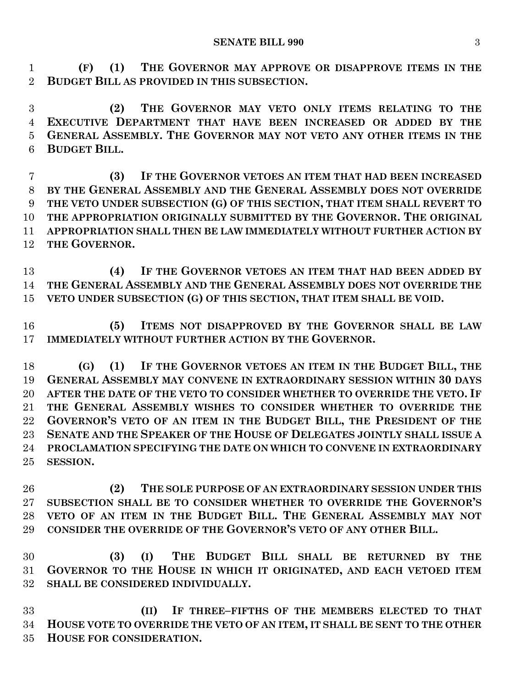**(F) (1) THE GOVERNOR MAY APPROVE OR DISAPPROVE ITEMS IN THE BUDGET BILL AS PROVIDED IN THIS SUBSECTION.**

 **(2) THE GOVERNOR MAY VETO ONLY ITEMS RELATING TO THE EXECUTIVE DEPARTMENT THAT HAVE BEEN INCREASED OR ADDED BY THE GENERAL ASSEMBLY. THE GOVERNOR MAY NOT VETO ANY OTHER ITEMS IN THE BUDGET BILL.**

 **(3) IF THE GOVERNOR VETOES AN ITEM THAT HAD BEEN INCREASED BY THE GENERAL ASSEMBLY AND THE GENERAL ASSEMBLY DOES NOT OVERRIDE THE VETO UNDER SUBSECTION (G) OF THIS SECTION, THAT ITEM SHALL REVERT TO THE APPROPRIATION ORIGINALLY SUBMITTED BY THE GOVERNOR. THE ORIGINAL APPROPRIATION SHALL THEN BE LAW IMMEDIATELY WITHOUT FURTHER ACTION BY THE GOVERNOR.**

 **(4) IF THE GOVERNOR VETOES AN ITEM THAT HAD BEEN ADDED BY THE GENERAL ASSEMBLY AND THE GENERAL ASSEMBLY DOES NOT OVERRIDE THE VETO UNDER SUBSECTION (G) OF THIS SECTION, THAT ITEM SHALL BE VOID.**

 **(5) ITEMS NOT DISAPPROVED BY THE GOVERNOR SHALL BE LAW IMMEDIATELY WITHOUT FURTHER ACTION BY THE GOVERNOR.**

 **(G) (1) IF THE GOVERNOR VETOES AN ITEM IN THE BUDGET BILL, THE GENERAL ASSEMBLY MAY CONVENE IN EXTRAORDINARY SESSION WITHIN 30 DAYS AFTER THE DATE OF THE VETO TO CONSIDER WHETHER TO OVERRIDE THE VETO. IF THE GENERAL ASSEMBLY WISHES TO CONSIDER WHETHER TO OVERRIDE THE GOVERNOR'S VETO OF AN ITEM IN THE BUDGET BILL, THE PRESIDENT OF THE SENATE AND THE SPEAKER OF THE HOUSE OF DELEGATES JOINTLY SHALL ISSUE A PROCLAMATION SPECIFYING THE DATE ON WHICH TO CONVENE IN EXTRAORDINARY SESSION.**

 **(2) THE SOLE PURPOSE OF AN EXTRAORDINARY SESSION UNDER THIS SUBSECTION SHALL BE TO CONSIDER WHETHER TO OVERRIDE THE GOVERNOR'S VETO OF AN ITEM IN THE BUDGET BILL. THE GENERAL ASSEMBLY MAY NOT CONSIDER THE OVERRIDE OF THE GOVERNOR'S VETO OF ANY OTHER BILL.**

 **(3) (I) THE BUDGET BILL SHALL BE RETURNED BY THE GOVERNOR TO THE HOUSE IN WHICH IT ORIGINATED, AND EACH VETOED ITEM SHALL BE CONSIDERED INDIVIDUALLY.**

 **(II) IF THREE–FIFTHS OF THE MEMBERS ELECTED TO THAT HOUSE VOTE TO OVERRIDE THE VETO OF AN ITEM, IT SHALL BE SENT TO THE OTHER HOUSE FOR CONSIDERATION.**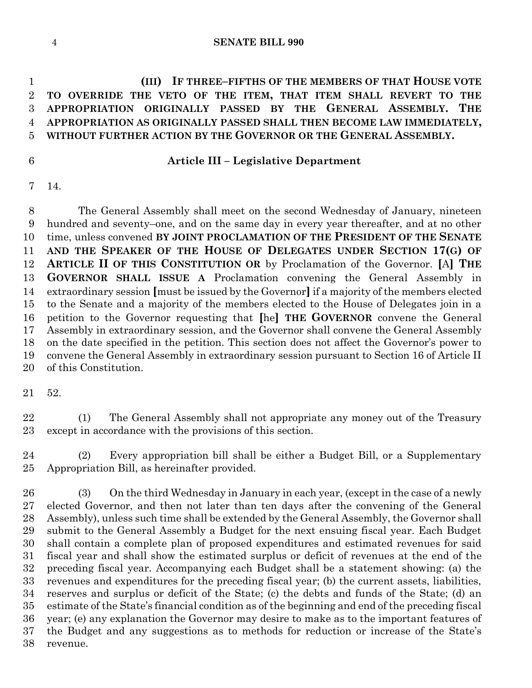**(III) IF THREE–FIFTHS OF THE MEMBERS OF THAT HOUSE VOTE TO OVERRIDE THE VETO OF THE ITEM, THAT ITEM SHALL REVERT TO THE APPROPRIATION ORIGINALLY PASSED BY THE GENERAL ASSEMBLY. THE APPROPRIATION AS ORIGINALLY PASSED SHALL THEN BECOME LAW IMMEDIATELY, WITHOUT FURTHER ACTION BY THE GOVERNOR OR THE GENERAL ASSEMBLY.**

#### **Article III – Legislative Department**

14.

 The General Assembly shall meet on the second Wednesday of January, nineteen hundred and seventy–one, and on the same day in every year thereafter, and at no other time, unless convened **BY JOINT PROCLAMATION OF THE PRESIDENT OF THE SENATE AND THE SPEAKER OF THE HOUSE OF DELEGATES UNDER SECTION 17(G) OF ARTICLE II OF THIS CONSTITUTION OR** by Proclamation of the Governor. **[**A**] THE GOVERNOR SHALL ISSUE A** Proclamation convening the General Assembly in extraordinary session **[**must be issued by the Governor**]**if a majority of the members elected to the Senate and a majority of the members elected to the House of Delegates join in a petition to the Governor requesting that **[**he**] THE GOVERNOR** convene the General Assembly in extraordinary session, and the Governor shall convene the General Assembly on the date specified in the petition. This section does not affect the Governor's power to convene the General Assembly in extraordinary session pursuant to Section 16 of Article II of this Constitution.

52.

 (1) The General Assembly shall not appropriate any money out of the Treasury except in accordance with the provisions of this section.

 (2) Every appropriation bill shall be either a Budget Bill, or a Supplementary Appropriation Bill, as hereinafter provided.

 (3) On the third Wednesday in January in each year, (except in the case of a newly elected Governor, and then not later than ten days after the convening of the General Assembly), unless such time shall be extended by the General Assembly, the Governor shall submit to the General Assembly a Budget for the next ensuing fiscal year. Each Budget shall contain a complete plan of proposed expenditures and estimated revenues for said fiscal year and shall show the estimated surplus or deficit of revenues at the end of the preceding fiscal year. Accompanying each Budget shall be a statement showing: (a) the revenues and expenditures for the preceding fiscal year; (b) the current assets, liabilities, reserves and surplus or deficit of the State; (c) the debts and funds of the State; (d) an estimate of the State's financial condition as of the beginning and end of the preceding fiscal year; (e) any explanation the Governor may desire to make as to the important features of the Budget and any suggestions as to methods for reduction or increase of the State's revenue.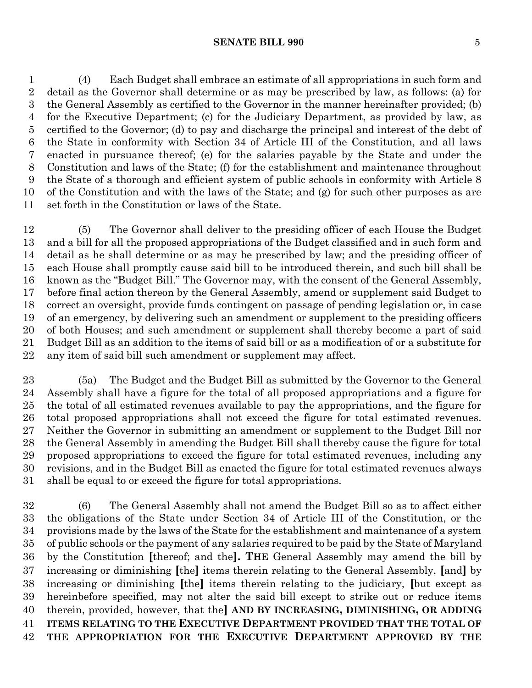**SENATE BILL 990** 5

 (4) Each Budget shall embrace an estimate of all appropriations in such form and detail as the Governor shall determine or as may be prescribed by law, as follows: (a) for the General Assembly as certified to the Governor in the manner hereinafter provided; (b) for the Executive Department; (c) for the Judiciary Department, as provided by law, as certified to the Governor; (d) to pay and discharge the principal and interest of the debt of the State in conformity with Section 34 of Article III of the Constitution, and all laws enacted in pursuance thereof; (e) for the salaries payable by the State and under the Constitution and laws of the State; (f) for the establishment and maintenance throughout the State of a thorough and efficient system of public schools in conformity with Article 8 of the Constitution and with the laws of the State; and (g) for such other purposes as are set forth in the Constitution or laws of the State.

 (5) The Governor shall deliver to the presiding officer of each House the Budget and a bill for all the proposed appropriations of the Budget classified and in such form and detail as he shall determine or as may be prescribed by law; and the presiding officer of each House shall promptly cause said bill to be introduced therein, and such bill shall be known as the "Budget Bill." The Governor may, with the consent of the General Assembly, before final action thereon by the General Assembly, amend or supplement said Budget to correct an oversight, provide funds contingent on passage of pending legislation or, in case of an emergency, by delivering such an amendment or supplement to the presiding officers of both Houses; and such amendment or supplement shall thereby become a part of said Budget Bill as an addition to the items of said bill or as a modification of or a substitute for any item of said bill such amendment or supplement may affect.

 (5a) The Budget and the Budget Bill as submitted by the Governor to the General Assembly shall have a figure for the total of all proposed appropriations and a figure for the total of all estimated revenues available to pay the appropriations, and the figure for total proposed appropriations shall not exceed the figure for total estimated revenues. Neither the Governor in submitting an amendment or supplement to the Budget Bill nor the General Assembly in amending the Budget Bill shall thereby cause the figure for total proposed appropriations to exceed the figure for total estimated revenues, including any revisions, and in the Budget Bill as enacted the figure for total estimated revenues always shall be equal to or exceed the figure for total appropriations.

 (6) The General Assembly shall not amend the Budget Bill so as to affect either the obligations of the State under Section 34 of Article III of the Constitution, or the provisions made by the laws of the State for the establishment and maintenance of a system of public schools or the payment of any salaries required to be paid by the State of Maryland by the Constitution **[**thereof; and the**]. THE** General Assembly may amend the bill by increasing or diminishing **[**the**]** items therein relating to the General Assembly, **[**and**]** by increasing or diminishing **[**the**]** items therein relating to the judiciary, **[**but except as hereinbefore specified, may not alter the said bill except to strike out or reduce items therein, provided, however, that the**] AND BY INCREASING, DIMINISHING, OR ADDING ITEMS RELATING TO THE EXECUTIVE DEPARTMENT PROVIDED THAT THE TOTAL OF THE APPROPRIATION FOR THE EXECUTIVE DEPARTMENT APPROVED BY THE**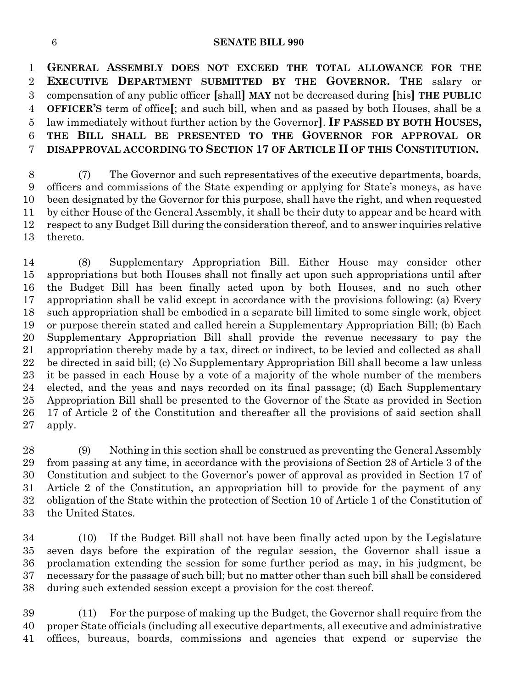#### **SENATE BILL 990**

 **GENERAL ASSEMBLY DOES NOT EXCEED THE TOTAL ALLOWANCE FOR THE EXECUTIVE DEPARTMENT SUBMITTED BY THE GOVERNOR. THE** salary or compensation of any public officer **[**shall**] MAY** not be decreased during **[**his**] THE PUBLIC OFFICER'S** term of office**[**; and such bill, when and as passed by both Houses, shall be a law immediately without further action by the Governor**]**. **IF PASSED BY BOTH HOUSES, THE BILL SHALL BE PRESENTED TO THE GOVERNOR FOR APPROVAL OR DISAPPROVAL ACCORDING TO SECTION 17 OF ARTICLE II OF THIS CONSTITUTION.**

 (7) The Governor and such representatives of the executive departments, boards, officers and commissions of the State expending or applying for State's moneys, as have been designated by the Governor for this purpose, shall have the right, and when requested by either House of the General Assembly, it shall be their duty to appear and be heard with respect to any Budget Bill during the consideration thereof, and to answer inquiries relative thereto.

 (8) Supplementary Appropriation Bill. Either House may consider other appropriations but both Houses shall not finally act upon such appropriations until after the Budget Bill has been finally acted upon by both Houses, and no such other appropriation shall be valid except in accordance with the provisions following: (a) Every such appropriation shall be embodied in a separate bill limited to some single work, object or purpose therein stated and called herein a Supplementary Appropriation Bill; (b) Each Supplementary Appropriation Bill shall provide the revenue necessary to pay the appropriation thereby made by a tax, direct or indirect, to be levied and collected as shall be directed in said bill; (c) No Supplementary Appropriation Bill shall become a law unless it be passed in each House by a vote of a majority of the whole number of the members elected, and the yeas and nays recorded on its final passage; (d) Each Supplementary Appropriation Bill shall be presented to the Governor of the State as provided in Section 17 of Article 2 of the Constitution and thereafter all the provisions of said section shall apply.

 (9) Nothing in this section shall be construed as preventing the General Assembly from passing at any time, in accordance with the provisions of Section 28 of Article 3 of the Constitution and subject to the Governor's power of approval as provided in Section 17 of Article 2 of the Constitution, an appropriation bill to provide for the payment of any obligation of the State within the protection of Section 10 of Article 1 of the Constitution of the United States.

 (10) If the Budget Bill shall not have been finally acted upon by the Legislature seven days before the expiration of the regular session, the Governor shall issue a proclamation extending the session for some further period as may, in his judgment, be necessary for the passage of such bill; but no matter other than such bill shall be considered during such extended session except a provision for the cost thereof.

 (11) For the purpose of making up the Budget, the Governor shall require from the proper State officials (including all executive departments, all executive and administrative offices, bureaus, boards, commissions and agencies that expend or supervise the